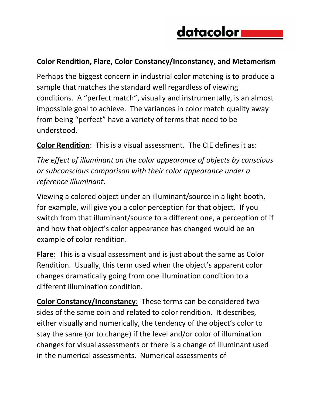## datacolor

## **Color Rendition, Flare, Color Constancy/Inconstancy, and Metamerism**

Perhaps the biggest concern in industrial color matching is to produce a sample that matches the standard well regardless of viewing conditions. A "perfect match", visually and instrumentally, is an almost impossible goal to achieve. The variances in color match quality away from being "perfect" have a variety of terms that need to be understood.

**Color Rendition**: This is a visual assessment. The CIE defines it as:

*The effect of illuminant on the color appearance of objects by conscious or subconscious comparison with their color appearance under a reference illuminant*.

Viewing a colored object under an illuminant/source in a light booth, for example, will give you a color perception for that object. If you switch from that illuminant/source to a different one, a perception of if and how that object's color appearance has changed would be an example of color rendition.

**Flare**: This is a visual assessment and is just about the same as Color Rendition. Usually, this term used when the object's apparent color changes dramatically going from one illumination condition to a different illumination condition.

**Color Constancy/Inconstancy**: These terms can be considered two sides of the same coin and related to color rendition. It describes, either visually and numerically, the tendency of the object's color to stay the same (or to change) if the level and/or color of illumination changes for visual assessments or there is a change of illuminant used in the numerical assessments. Numerical assessments of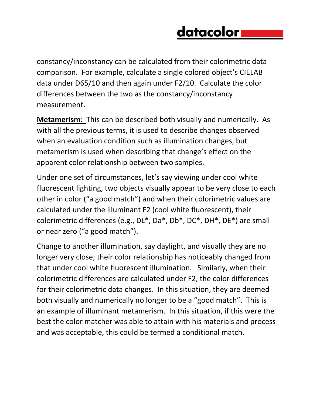## datacolor

constancy/inconstancy can be calculated from their colorimetric data comparison. For example, calculate a single colored object's CIELAB data under D65/10 and then again under F2/10. Calculate the color differences between the two as the constancy/inconstancy measurement.

**Metamerism**: This can be described both visually and numerically. As with all the previous terms, it is used to describe changes observed when an evaluation condition such as illumination changes, but metamerism is used when describing that change's effect on the apparent color relationship between two samples.

Under one set of circumstances, let's say viewing under cool white fluorescent lighting, two objects visually appear to be very close to each other in color ("a good match") and when their colorimetric values are calculated under the illuminant F2 (cool white fluorescent), their colorimetric differences (e.g., DL\*, Da\*, Db\*, DC\*, DH\*, DE\*) are small or near zero ("a good match").

Change to another illumination, say daylight, and visually they are no longer very close; their color relationship has noticeably changed from that under cool white fluorescent illumination. Similarly, when their colorimetric differences are calculated under F2, the color differences for their colorimetric data changes. In this situation, they are deemed both visually and numerically no longer to be a "good match". This is an example of illuminant metamerism. In this situation, if this were the best the color matcher was able to attain with his materials and process and was acceptable, this could be termed a conditional match.